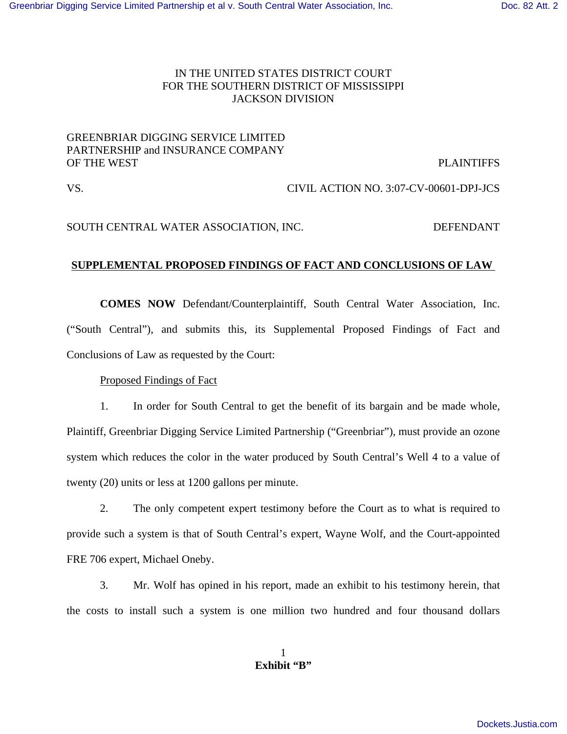## IN THE UNITED STATES DISTRICT COURT FOR THE SOUTHERN DISTRICT OF MISSISSIPPI JACKSON DIVISION

## GREENBRIAR DIGGING SERVICE LIMITED PARTNERSHIP and INSURANCE COMPANY OF THE WEST PLAINTIFFS

VS. CIVIL ACTION NO. 3:07-CV-00601-DPJ-JCS

SOUTH CENTRAL WATER ASSOCIATION, INC.  $DEFENDANT$ 

# **SUPPLEMENTAL PROPOSED FINDINGS OF FACT AND CONCLUSIONS OF LAW**

**COMES NOW** Defendant/Counterplaintiff, South Central Water Association, Inc. ("South Central"), and submits this, its Supplemental Proposed Findings of Fact and Conclusions of Law as requested by the Court:

Proposed Findings of Fact

1. In order for South Central to get the benefit of its bargain and be made whole, Plaintiff, Greenbriar Digging Service Limited Partnership ("Greenbriar"), must provide an ozone system which reduces the color in the water produced by South Central's Well 4 to a value of twenty (20) units or less at 1200 gallons per minute.

2. The only competent expert testimony before the Court as to what is required to provide such a system is that of South Central's expert, Wayne Wolf, and the Court-appointed FRE 706 expert, Michael Oneby.

3. Mr. Wolf has opined in his report, made an exhibit to his testimony herein, that the costs to install such a system is one million two hundred and four thousand dollars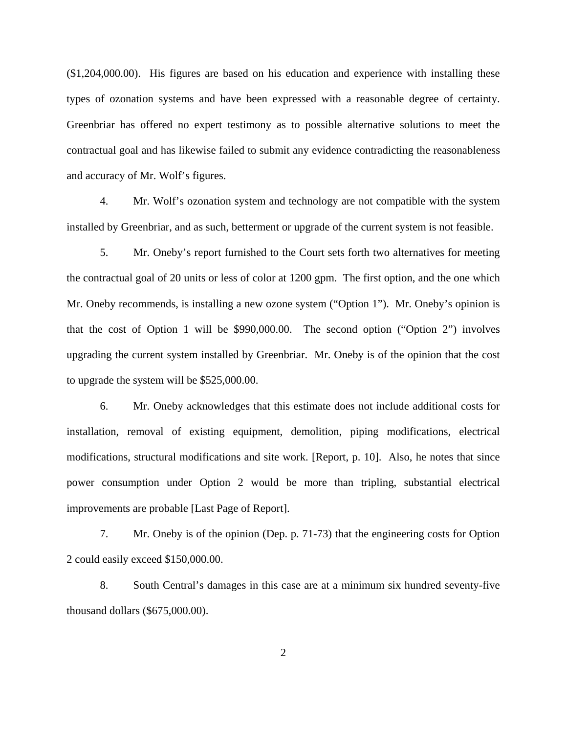(\$1,204,000.00). His figures are based on his education and experience with installing these types of ozonation systems and have been expressed with a reasonable degree of certainty. Greenbriar has offered no expert testimony as to possible alternative solutions to meet the contractual goal and has likewise failed to submit any evidence contradicting the reasonableness and accuracy of Mr. Wolf's figures.

4. Mr. Wolf's ozonation system and technology are not compatible with the system installed by Greenbriar, and as such, betterment or upgrade of the current system is not feasible.

5. Mr. Oneby's report furnished to the Court sets forth two alternatives for meeting the contractual goal of 20 units or less of color at 1200 gpm. The first option, and the one which Mr. Oneby recommends, is installing a new ozone system ("Option 1"). Mr. Oneby's opinion is that the cost of Option 1 will be \$990,000.00. The second option ("Option 2") involves upgrading the current system installed by Greenbriar. Mr. Oneby is of the opinion that the cost to upgrade the system will be \$525,000.00.

6. Mr. Oneby acknowledges that this estimate does not include additional costs for installation, removal of existing equipment, demolition, piping modifications, electrical modifications, structural modifications and site work. [Report, p. 10]. Also, he notes that since power consumption under Option 2 would be more than tripling, substantial electrical improvements are probable [Last Page of Report].

7. Mr. Oneby is of the opinion (Dep. p. 71-73) that the engineering costs for Option 2 could easily exceed \$150,000.00.

8. South Central's damages in this case are at a minimum six hundred seventy-five thousand dollars (\$675,000.00).

2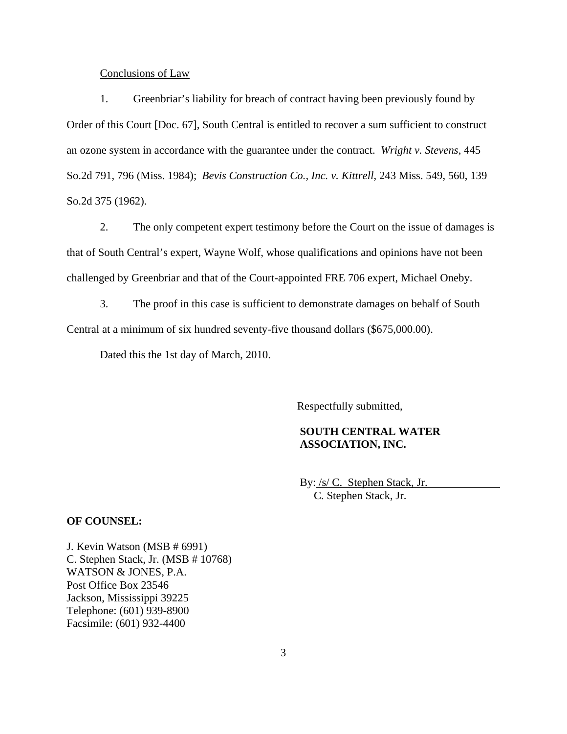#### Conclusions of Law

1. Greenbriar's liability for breach of contract having been previously found by Order of this Court [Doc. 67], South Central is entitled to recover a sum sufficient to construct an ozone system in accordance with the guarantee under the contract. *Wright v. Stevens*, 445 So.2d 791, 796 (Miss. 1984); *Bevis Construction Co., Inc. v. Kittrell*, 243 Miss. 549, 560, 139 So.2d 375 (1962).

2. The only competent expert testimony before the Court on the issue of damages is that of South Central's expert, Wayne Wolf, whose qualifications and opinions have not been challenged by Greenbriar and that of the Court-appointed FRE 706 expert, Michael Oneby.

3. The proof in this case is sufficient to demonstrate damages on behalf of South Central at a minimum of six hundred seventy-five thousand dollars (\$675,000.00).

Dated this the 1st day of March, 2010.

Respectfully submitted,

## **SOUTH CENTRAL WATER ASSOCIATION, INC.**

By: /s/ C. Stephen Stack, Jr. C. Stephen Stack, Jr.

#### **OF COUNSEL:**

J. Kevin Watson (MSB # 6991) C. Stephen Stack, Jr. (MSB # 10768) WATSON & JONES, P.A. Post Office Box 23546 Jackson, Mississippi 39225 Telephone: (601) 939-8900 Facsimile: (601) 932-4400